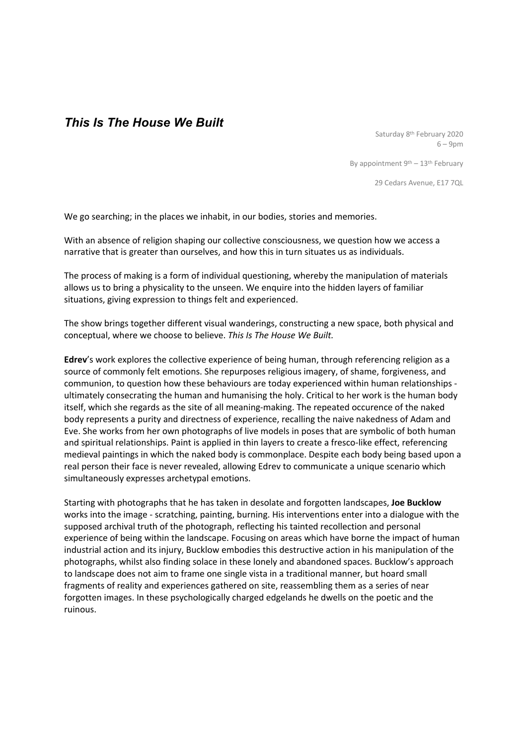## *This Is The House We Built*

Saturday 8th February 2020 6 – 9pm

By appointment  $9<sup>th</sup> - 13<sup>th</sup>$  February

29 Cedars Avenue, E17 7QL

We go searching; in the places we inhabit, in our bodies, stories and memories.

With an absence of religion shaping our collective consciousness, we question how we access a narrative that is greater than ourselves, and how this in turn situates us as individuals.

The process of making is a form of individual questioning, whereby the manipulation of materials allows us to bring a physicality to the unseen. We enquire into the hidden layers of familiar situations, giving expression to things felt and experienced.

The show brings together different visual wanderings, constructing a new space, both physical and conceptual, where we choose to believe. *This Is The House We Built.* 

**Edrev**'s work explores the collective experience of being human, through referencing religion as a source of commonly felt emotions. She repurposes religious imagery, of shame, forgiveness, and communion, to question how these behaviours are today experienced within human relationships ultimately consecrating the human and humanising the holy. Critical to her work is the human body itself, which she regards as the site of all meaning-making. The repeated occurence of the naked body represents a purity and directness of experience, recalling the naive nakedness of Adam and Eve. She works from her own photographs of live models in poses that are symbolic of both human and spiritual relationships. Paint is applied in thin layers to create a fresco-like effect, referencing medieval paintings in which the naked body is commonplace. Despite each body being based upon a real person their face is never revealed, allowing Edrev to communicate a unique scenario which simultaneously expresses archetypal emotions.

Starting with photographs that he has taken in desolate and forgotten landscapes, **Joe Bucklow**  works into the image - scratching, painting, burning. His interventions enter into a dialogue with the supposed archival truth of the photograph, reflecting his tainted recollection and personal experience of being within the landscape. Focusing on areas which have borne the impact of human industrial action and its injury, Bucklow embodies this destructive action in his manipulation of the photographs, whilst also finding solace in these lonely and abandoned spaces. Bucklow's approach to landscape does not aim to frame one single vista in a traditional manner, but hoard small fragments of reality and experiences gathered on site, reassembling them as a series of near forgotten images. In these psychologically charged edgelands he dwells on the poetic and the ruinous.